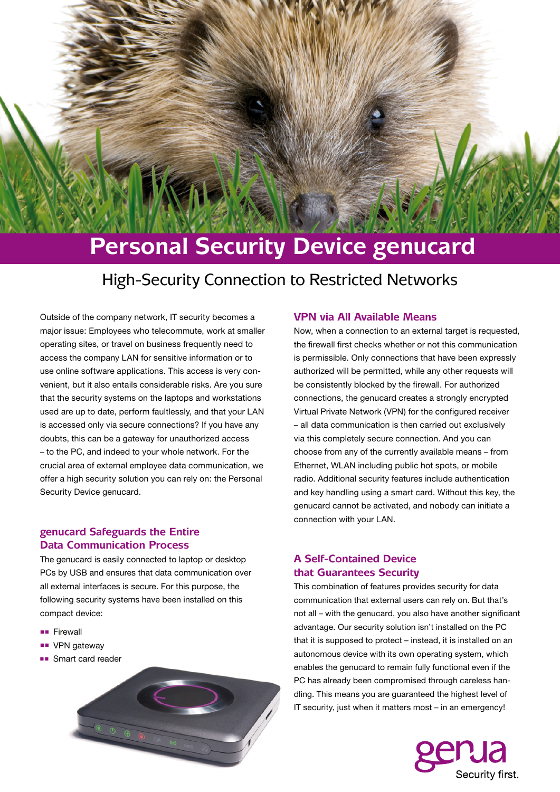# **Personal Security Device genucard**

# High-Security Connection to Restricted Networks

Outside of the company network, IT security becomes a major issue: Employees who telecommute, work at smaller operating sites, or travel on business frequently need to access the company LAN for sensitive information or to use online software applications. This access is very convenient, but it also entails considerable risks. Are you sure that the security systems on the laptops and workstations used are up to date, perform faultlessly, and that your LAN is accessed only via secure connections? If you have any doubts, this can be a gateway for unauthorized access – to the PC, and indeed to your whole network. For the crucial area of external employee data communication, we offer a high security solution you can rely on: the Personal Security Device genucard.

## **genucard Safeguards the Entire Data Communication Process**

The genucard is easily connected to laptop or desktop PCs by USB and ensures that data communication over all external interfaces is secure. For this purpose, the following security systems have been installed on this compact device:

- ■■ Firewall
- ■■ VPN gateway
- ■■ Smart card reader



#### **VPN via All Available Means**

Now, when a connection to an external target is requested, the firewall first checks whether or not this communication is permissible. Only connections that have been expressly authorized will be permitted, while any other requests will be consistently blocked by the firewall. For authorized connections, the genucard creates a strongly encrypted Virtual Private Network (VPN) for the configured receiver – all data communication is then carried out exclusively via this completely secure connection. And you can choose from any of the currently available means – from Ethernet, WLAN including public hot spots, or mobile radio. Additional security features include authentication and key handling using a smart card. Without this key, the genucard cannot be activated, and nobody can initiate a connection with your LAN.

#### **A Self-Contained Device that Guarantees Security**

This combination of features provides security for data communication that external users can rely on. But that's not all – with the genucard, you also have another significant advantage. Our security solution isn't installed on the PC that it is supposed to protect – instead, it is installed on an autonomous device with its own operating system, which enables the genucard to remain fully functional even if the PC has already been compromised through careless handling. This means you are guaranteed the highest level of IT security, just when it matters most – in an emergency!